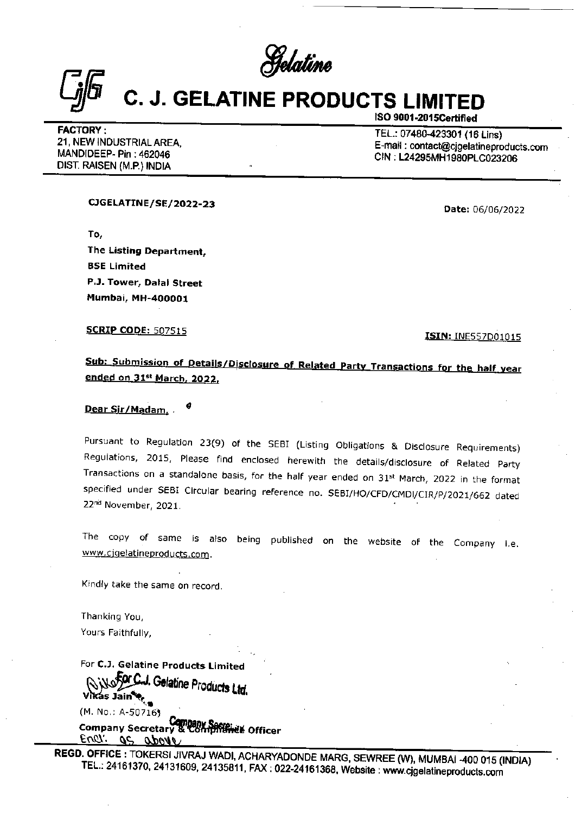Gelaline

## **C. J. GELATINE PRODUCTS LIMITED**  $\frac{C_{j}F}{C_{j}}$  C. J. GELATINE PF

FACTORY :<br>21, NEW INDUSTRIAL AREA, E-mail : 07480-423301 (16 Lins)<br>MANDIDEEP- Pin : 462046 CIN : L24295MH1980PLC023206<br>DIST. RAISEN (M.P.) INDIA

ISO 9001-2015Certifled

CIGELATINE/SE/ 2022-23 Date: 06/06/2022

To, The Listing Department,<br>BSE Limited<br>P.J. Tower, Dalal Street<br>Mumbai, MH-400001<br>SCRIP CODE: 507515 BSE Limited P.J. Tower, Dalal Street Mumbai, MH-400001

**SCRIP CODE: 507515** 

<u>ISIN: INES</u> **ISIN: INE557D01015** 

Sub: Submission of Details/Disclosure of Related Party Transactions for the half year<br>ended on 31<sup>st</sup> March, 2022.

Dear Sir/Madam, .

Dear Sir/Madam, 4<br>
Dear Sir/Madam, 4<br>
Pursuant to Regulation 23(9) of the SEBI (I<br>
Regulations, 2015, Please find enclosed her<br>
Fransactions on a standalone basis, for the half<br>
pecified under SEBI Circular bearing referen Pursuant to Regulation 23(9) of the SEBI (Listing Obligations & Disclosure Requirements) Transactions on a standalone basis, for the half year ended on 31<sup>st</sup> March, 2022 in the format specified under SEBI Circular bearing reference no. SEBI/HO/CFD/CMDI/CIR/P/2021/662 dated 22<sup>nd</sup> November, 2021.

The copy of same is also being published on the website of the Company i.e. www.cjgelatineproducts.com.

Kindly take the same on record.

Thanking You, Yours Faithfully,

For C.J. Gelatine Products Limited We **Cul. Gelatine Products Ltd.**<br>Vikas Jain<sup>e</sup>s, (M. No.: A-507163 Company Secretary & Company Secretary & Company Secretary & Company Secretary of The Officer

REGD. OFFICE : TOKERSI JIVRAJ WADI, ACHARYADONDE MARG, SEWREE (W), MUMBAI -400 015 (INDIA)<br>TEL.: 24161370, 24131609, 24135811, FAX: 022-24161368, Website : www.cjgelatineproducts.com